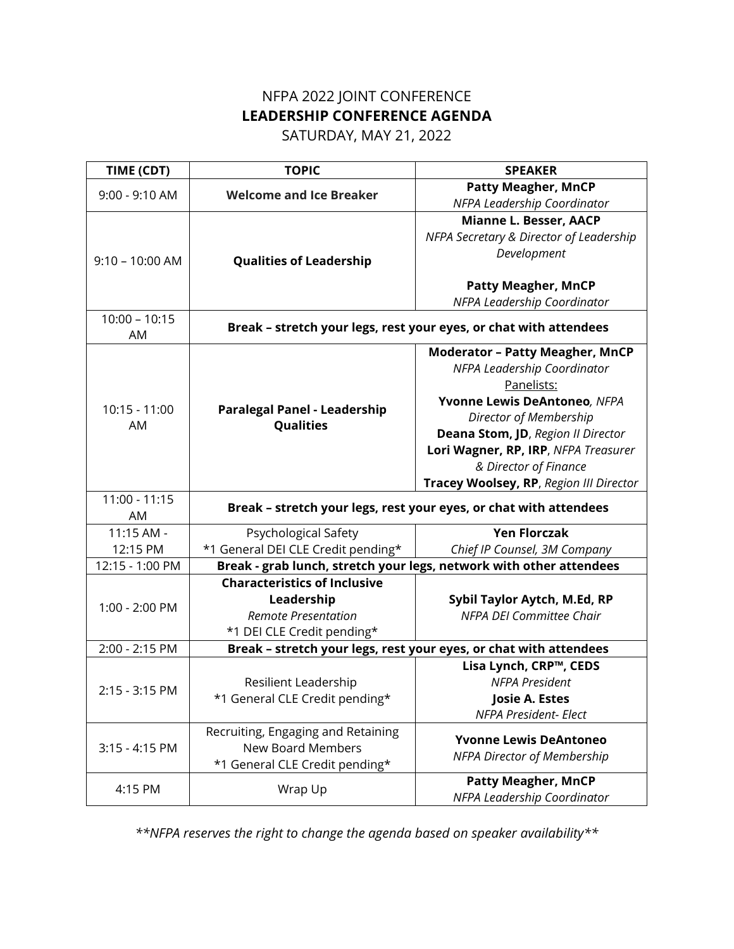## NFPA 2022 JOINT CONFERENCE **LEADERSHIP CONFERENCE AGENDA**

SATURDAY, MAY 21, 2022

| TIME (CDT)            | <b>TOPIC</b>                                                      | <b>SPEAKER</b>                                                      |
|-----------------------|-------------------------------------------------------------------|---------------------------------------------------------------------|
| 9:00 - 9:10 AM        | <b>Welcome and Ice Breaker</b>                                    | <b>Patty Meagher, MnCP</b>                                          |
|                       |                                                                   | NFPA Leadership Coordinator                                         |
| $9:10 - 10:00$ AM     | <b>Qualities of Leadership</b>                                    | Mianne L. Besser, AACP                                              |
|                       |                                                                   | NFPA Secretary & Director of Leadership                             |
|                       |                                                                   | Development                                                         |
|                       |                                                                   |                                                                     |
|                       |                                                                   | <b>Patty Meagher, MnCP</b>                                          |
|                       |                                                                   | NFPA Leadership Coordinator                                         |
| $10:00 - 10:15$<br>AM | Break - stretch your legs, rest your eyes, or chat with attendees |                                                                     |
| $10:15 - 11:00$<br>AM | <b>Paralegal Panel - Leadership</b><br><b>Qualities</b>           | <b>Moderator - Patty Meagher, MnCP</b>                              |
|                       |                                                                   | NFPA Leadership Coordinator                                         |
|                       |                                                                   | Panelists:                                                          |
|                       |                                                                   | Yvonne Lewis DeAntoneo, NFPA                                        |
|                       |                                                                   | Director of Membership                                              |
|                       |                                                                   | Deana Stom, JD, Region II Director                                  |
|                       |                                                                   | Lori Wagner, RP, IRP, NFPA Treasurer                                |
|                       |                                                                   | & Director of Finance                                               |
|                       |                                                                   | Tracey Woolsey, RP, Region III Director                             |
| 11:00 - 11:15<br>AM   | Break - stretch your legs, rest your eyes, or chat with attendees |                                                                     |
| 11:15 AM -            | Psychological Safety                                              | <b>Yen Florczak</b>                                                 |
| 12:15 PM              | *1 General DEI CLE Credit pending*                                | Chief IP Counsel, 3M Company                                        |
| 12:15 - 1:00 PM       |                                                                   | Break - grab lunch, stretch your legs, network with other attendees |
|                       | <b>Characteristics of Inclusive</b>                               |                                                                     |
| 1:00 - 2:00 PM        | Leadership                                                        | Sybil Taylor Aytch, M.Ed, RP                                        |
|                       | <b>Remote Presentation</b>                                        | <b>NFPA DEI Committee Chair</b>                                     |
|                       | *1 DEI CLE Credit pending*                                        |                                                                     |
| 2:00 - 2:15 PM        | Break - stretch your legs, rest your eyes, or chat with attendees |                                                                     |
| 2:15 - 3:15 PM        |                                                                   | Lisa Lynch, CRP™, CEDS                                              |
|                       | Resilient Leadership                                              | <b>NFPA President</b>                                               |
|                       | *1 General CLE Credit pending*                                    | Josie A. Estes                                                      |
|                       |                                                                   | NFPA President- Elect                                               |
| $3:15 - 4:15$ PM      | Recruiting, Engaging and Retaining                                | <b>Yvonne Lewis DeAntoneo</b>                                       |
|                       | <b>New Board Members</b>                                          |                                                                     |
|                       | *1 General CLE Credit pending*                                    | NFPA Director of Membership                                         |
| 4:15 PM               |                                                                   | <b>Patty Meagher, MnCP</b>                                          |
|                       | Wrap Up                                                           | NFPA Leadership Coordinator                                         |

*\*\*NFPA reserves the right to change the agenda based on speaker availability\*\**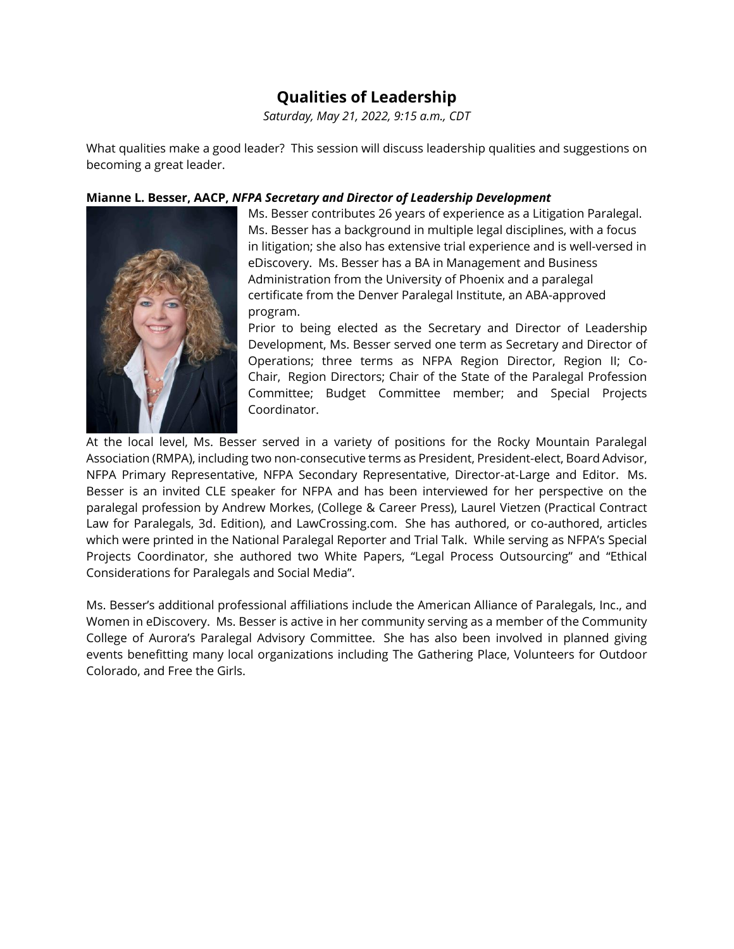### **Qualities of Leadership**

*Saturday, May 21, 2022, 9:15 a.m., CDT*

What qualities make a good leader? This session will discuss leadership qualities and suggestions on becoming a great leader.

### **Mianne L. Besser, AACP,** *NFPA Secretary and Director of Leadership Development*



Ms. Besser contributes 26 years of experience as a Litigation Paralegal. Ms. Besser has a background in multiple legal disciplines, with a focus in litigation; she also has extensive trial experience and is well-versed in eDiscovery. Ms. Besser has a BA in Management and Business Administration from the University of Phoenix and a paralegal certificate from the Denver Paralegal Institute, an ABA-approved program.

Prior to being elected as the Secretary and Director of Leadership Development, Ms. Besser served one term as Secretary and Director of Operations; three terms as NFPA Region Director, Region II; Co-Chair, Region Directors; Chair of the State of the Paralegal Profession Committee; Budget Committee member; and Special Projects Coordinator.

At the local level, Ms. Besser served in a variety of positions for the Rocky Mountain Paralegal Association (RMPA), including two non-consecutive terms as President, President-elect, Board Advisor, NFPA Primary Representative, NFPA Secondary Representative, Director-at-Large and Editor. Ms. Besser is an invited CLE speaker for NFPA and has been interviewed for her perspective on the paralegal profession by Andrew Morkes, (College & Career Press), Laurel Vietzen (Practical Contract Law for Paralegals, 3d. Edition), and LawCrossing.com. She has authored, or co-authored, articles which were printed in the National Paralegal Reporter and Trial Talk. While serving as NFPA's Special Projects Coordinator, she authored two White Papers, "Legal Process Outsourcing" and "Ethical Considerations for Paralegals and Social Media".

Ms. Besser's additional professional affiliations include the American Alliance of Paralegals, Inc., and Women in eDiscovery. Ms. Besser is active in her community serving as a member of the Community College of Aurora's Paralegal Advisory Committee. She has also been involved in planned giving events benefitting many local organizations including The Gathering Place, Volunteers for Outdoor Colorado, and Free the Girls.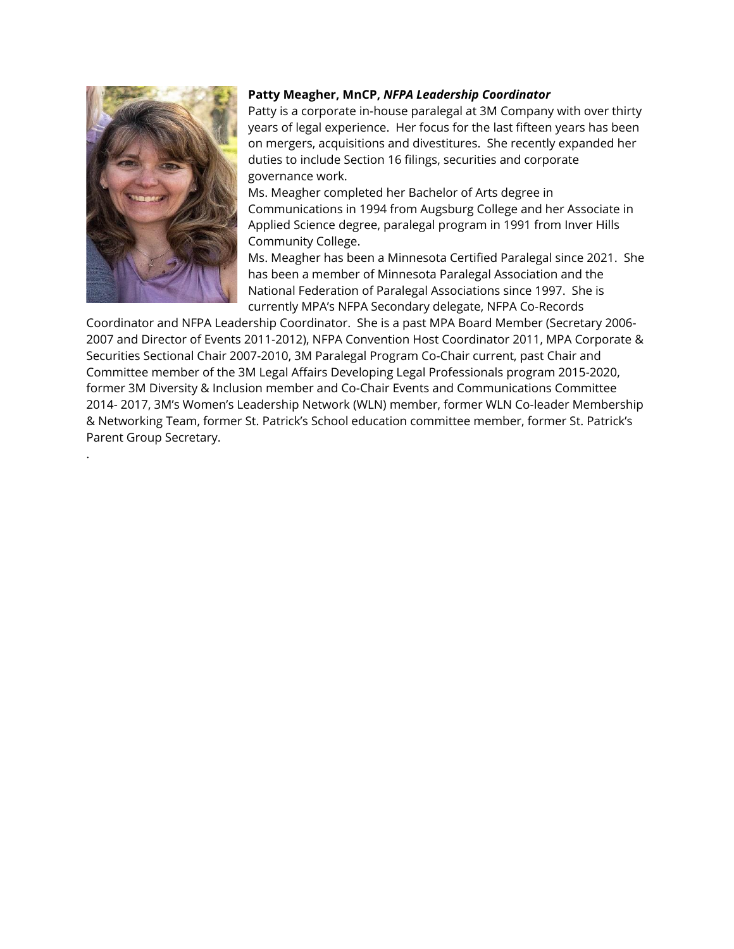

.

#### **Patty Meagher, MnCP,** *NFPA Leadership Coordinator*

Patty is a corporate in-house paralegal at 3M Company with over thirty years of legal experience. Her focus for the last fifteen years has been on mergers, acquisitions and divestitures. She recently expanded her duties to include Section 16 filings, securities and corporate governance work.

Ms. Meagher completed her Bachelor of Arts degree in Communications in 1994 from Augsburg College and her Associate in Applied Science degree, paralegal program in 1991 from Inver Hills Community College.

Ms. Meagher has been a Minnesota Certified Paralegal since 2021. She has been a member of Minnesota Paralegal Association and the National Federation of Paralegal Associations since 1997. She is currently MPA's NFPA Secondary delegate, NFPA Co-Records

Coordinator and NFPA Leadership Coordinator. She is a past MPA Board Member (Secretary 2006- 2007 and Director of Events 2011-2012), NFPA Convention Host Coordinator 2011, MPA Corporate & Securities Sectional Chair 2007-2010, 3M Paralegal Program Co-Chair current, past Chair and Committee member of the 3M Legal Affairs Developing Legal Professionals program 2015-2020, former 3M Diversity & Inclusion member and Co-Chair Events and Communications Committee 2014- 2017, 3M's Women's Leadership Network (WLN) member, former WLN Co-leader Membership & Networking Team, former St. Patrick's School education committee member, former St. Patrick's Parent Group Secretary.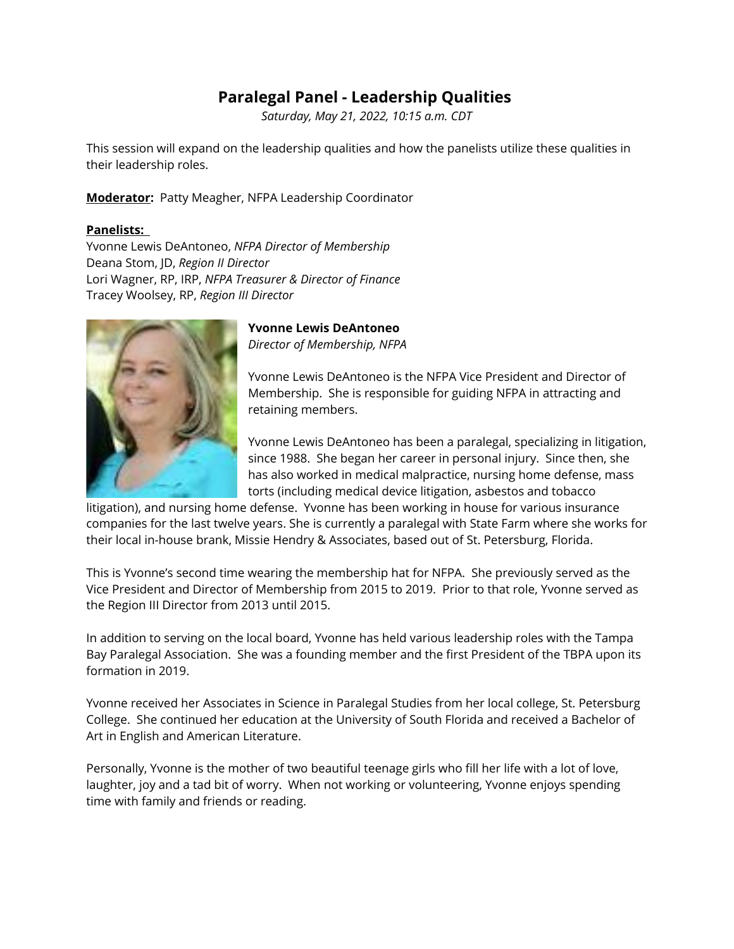### **Paralegal Panel - Leadership Qualities**

*Saturday, May 21, 2022, 10:15 a.m. CDT*

This session will expand on the leadership qualities and how the panelists utilize these qualities in their leadership roles.

**Moderator:** Patty Meagher, NFPA Leadership Coordinator

### **Panelists:**

Yvonne Lewis DeAntoneo, *NFPA Director of Membership* Deana Stom, JD, *Region II Director* Lori Wagner, RP, IRP, *NFPA Treasurer & Director of Finance* Tracey Woolsey, RP, *Region III Director*



**Yvonne Lewis DeAntoneo** *Director of Membership, NFPA*

Yvonne Lewis DeAntoneo is the NFPA Vice President and Director of Membership. She is responsible for guiding NFPA in attracting and retaining members.

Yvonne Lewis DeAntoneo has been a paralegal, specializing in litigation, since 1988. She began her career in personal injury. Since then, she has also worked in medical malpractice, nursing home defense, mass torts (including medical device litigation, asbestos and tobacco

litigation), and nursing home defense. Yvonne has been working in house for various insurance companies for the last twelve years. She is currently a paralegal with State Farm where she works for their local in-house brank, Missie Hendry & Associates, based out of St. Petersburg, Florida.

This is Yvonne's second time wearing the membership hat for NFPA. She previously served as the Vice President and Director of Membership from 2015 to 2019. Prior to that role, Yvonne served as the Region III Director from 2013 until 2015.

In addition to serving on the local board, Yvonne has held various leadership roles with the Tampa Bay Paralegal Association. She was a founding member and the first President of the TBPA upon its formation in 2019.

Yvonne received her Associates in Science in Paralegal Studies from her local college, St. Petersburg College. She continued her education at the University of South Florida and received a Bachelor of Art in English and American Literature.

Personally, Yvonne is the mother of two beautiful teenage girls who fill her life with a lot of love, laughter, joy and a tad bit of worry. When not working or volunteering, Yvonne enjoys spending time with family and friends or reading.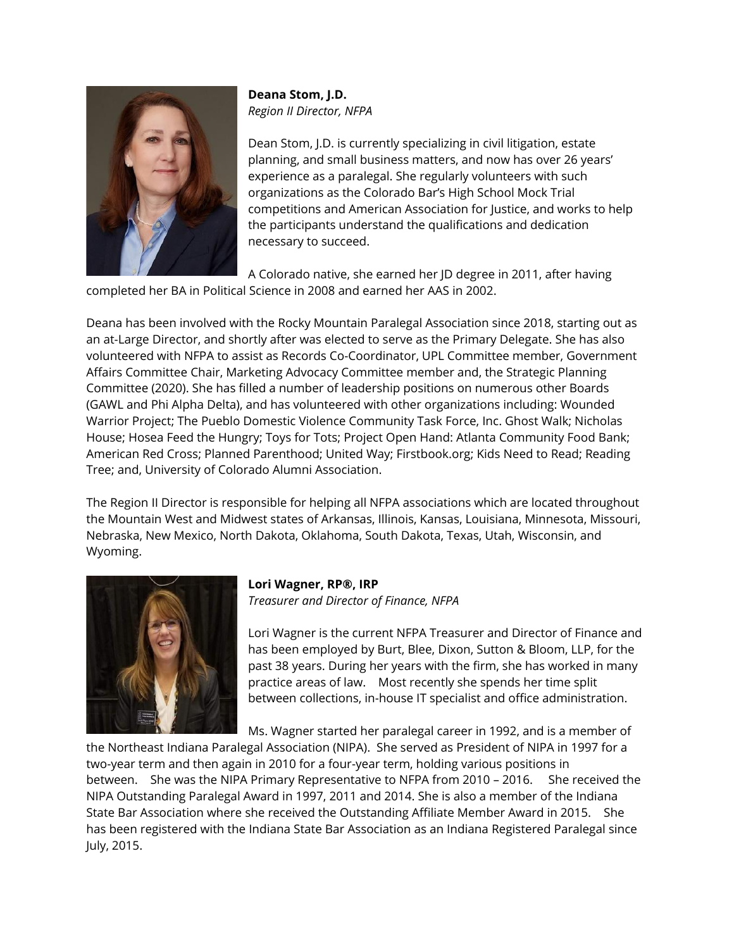

**Deana Stom, J.D.** *Region II Director, NFPA*

Dean Stom, J.D. is currently specializing in civil litigation, estate planning, and small business matters, and now has over 26 years' experience as a paralegal. She regularly volunteers with such organizations as the Colorado Bar's High School Mock Trial competitions and American Association for Justice, and works to help the participants understand the qualifications and dedication necessary to succeed.

A Colorado native, she earned her JD degree in 2011, after having completed her BA in Political Science in 2008 and earned her AAS in 2002.

Deana has been involved with the Rocky Mountain Paralegal Association since 2018, starting out as an at-Large Director, and shortly after was elected to serve as the Primary Delegate. She has also volunteered with NFPA to assist as Records Co-Coordinator, UPL Committee member, Government Affairs Committee Chair, Marketing Advocacy Committee member and, the Strategic Planning Committee (2020). She has filled a number of leadership positions on numerous other Boards (GAWL and Phi Alpha Delta), and has volunteered with other organizations including: Wounded Warrior Project; The Pueblo Domestic Violence Community Task Force, Inc. Ghost Walk; Nicholas House; Hosea Feed the Hungry; Toys for Tots; Project Open Hand: Atlanta Community Food Bank; American Red Cross; Planned Parenthood; United Way; Firstbook.org; Kids Need to Read; Reading Tree; and, University of Colorado Alumni Association.

The Region II Director is responsible for helping all NFPA associations which are located throughout the Mountain West and Midwest states of Arkansas, Illinois, Kansas, Louisiana, Minnesota, Missouri, Nebraska, New Mexico, North Dakota, Oklahoma, South Dakota, Texas, Utah, Wisconsin, and Wyoming.



#### **Lori Wagner, RP®, IRP** *Treasurer and Director of Finance, NFPA*

Lori Wagner is the current NFPA Treasurer and Director of Finance and has been employed by Burt, Blee, Dixon, Sutton & Bloom, LLP, for the past 38 years. During her years with the firm, she has worked in many practice areas of law. Most recently she spends her time split between collections, in-house IT specialist and office administration.

Ms. Wagner started her paralegal career in 1992, and is a member of

the Northeast Indiana Paralegal Association (NIPA). She served as President of NIPA in 1997 for a two-year term and then again in 2010 for a four-year term, holding various positions in between. She was the NIPA Primary Representative to NFPA from 2010 – 2016. She received the NIPA Outstanding Paralegal Award in 1997, 2011 and 2014. She is also a member of the Indiana State Bar Association where she received the Outstanding Affiliate Member Award in 2015. She has been registered with the Indiana State Bar Association as an Indiana Registered Paralegal since July, 2015.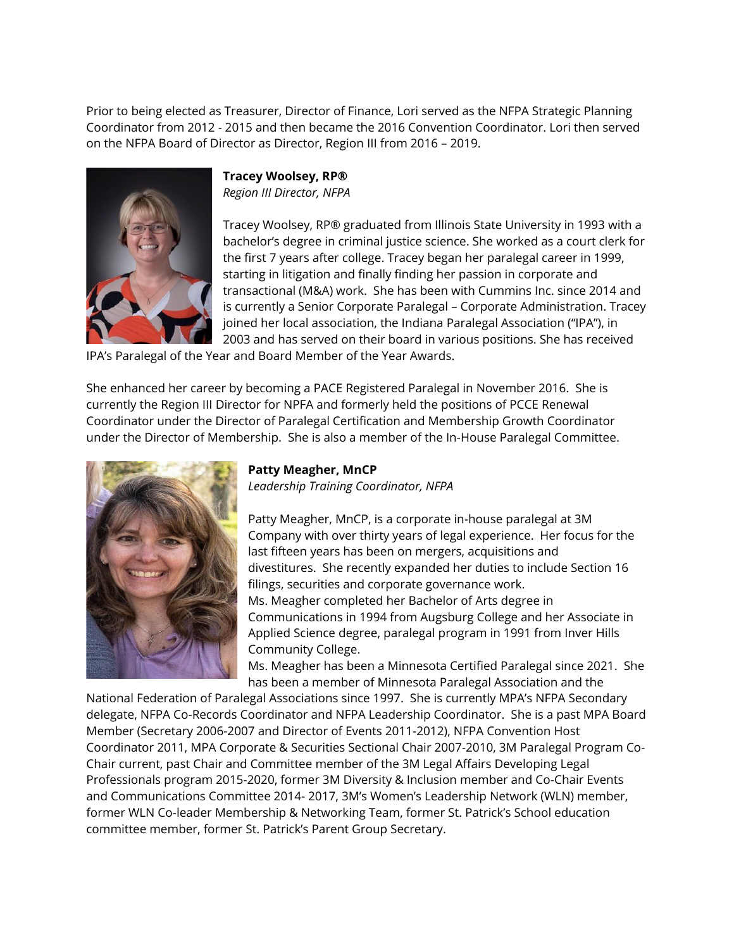Prior to being elected as Treasurer, Director of Finance, Lori served as the NFPA Strategic Planning Coordinator from 2012 - 2015 and then became the 2016 Convention Coordinator. Lori then served on the NFPA Board of Director as Director, Region III from 2016 – 2019.



**Tracey Woolsey, RP®** *Region III Director, NFPA*

Tracey Woolsey, RP® graduated from Illinois State University in 1993 with a bachelor's degree in criminal justice science. She worked as a court clerk for the first 7 years after college. Tracey began her paralegal career in 1999, starting in litigation and finally finding her passion in corporate and transactional (M&A) work. She has been with Cummins Inc. since 2014 and is currently a Senior Corporate Paralegal – Corporate Administration. Tracey joined her local association, the Indiana Paralegal Association ("IPA"), in 2003 and has served on their board in various positions. She has received

IPA's Paralegal of the Year and Board Member of the Year Awards.

She enhanced her career by becoming a PACE Registered Paralegal in November 2016. She is currently the Region III Director for NPFA and formerly held the positions of PCCE Renewal Coordinator under the Director of Paralegal Certification and Membership Growth Coordinator under the Director of Membership. She is also a member of the In-House Paralegal Committee.



### **Patty Meagher, MnCP**

*Leadership Training Coordinator, NFPA*

Patty Meagher, MnCP, is a corporate in-house paralegal at 3M Company with over thirty years of legal experience. Her focus for the last fifteen years has been on mergers, acquisitions and divestitures. She recently expanded her duties to include Section 16 filings, securities and corporate governance work. Ms. Meagher completed her Bachelor of Arts degree in Communications in 1994 from Augsburg College and her Associate in Applied Science degree, paralegal program in 1991 from Inver Hills Community College.

Ms. Meagher has been a Minnesota Certified Paralegal since 2021. She has been a member of Minnesota Paralegal Association and the

National Federation of Paralegal Associations since 1997. She is currently MPA's NFPA Secondary delegate, NFPA Co-Records Coordinator and NFPA Leadership Coordinator. She is a past MPA Board Member (Secretary 2006-2007 and Director of Events 2011-2012), NFPA Convention Host Coordinator 2011, MPA Corporate & Securities Sectional Chair 2007-2010, 3M Paralegal Program Co-Chair current, past Chair and Committee member of the 3M Legal Affairs Developing Legal Professionals program 2015-2020, former 3M Diversity & Inclusion member and Co-Chair Events and Communications Committee 2014- 2017, 3M's Women's Leadership Network (WLN) member, former WLN Co-leader Membership & Networking Team, former St. Patrick's School education committee member, former St. Patrick's Parent Group Secretary.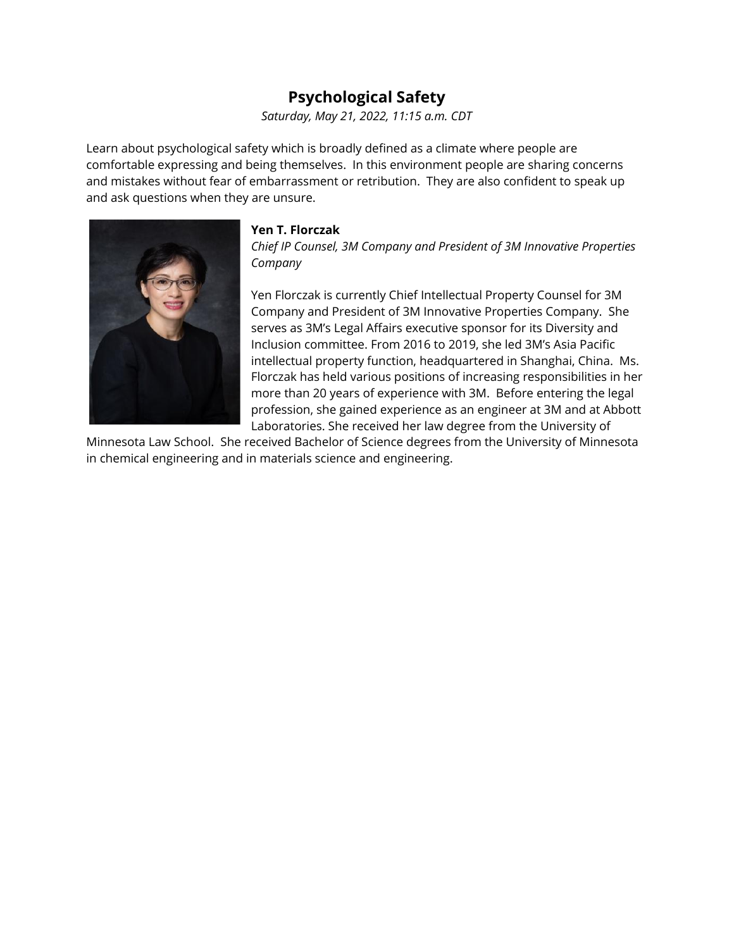### **Psychological Safety**

*Saturday, May 21, 2022, 11:15 a.m. CDT*

Learn about psychological safety which is broadly defined as a climate where people are comfortable expressing and being themselves. In this environment people are sharing concerns and mistakes without fear of embarrassment or retribution. They are also confident to speak up and ask questions when they are unsure.



### **Yen T. Florczak**

*Chief IP Counsel, 3M Company and President of 3M Innovative Properties Company*

Yen Florczak is currently Chief Intellectual Property Counsel for 3M Company and President of 3M Innovative Properties Company. She serves as 3M's Legal Affairs executive sponsor for its Diversity and Inclusion committee. From 2016 to 2019, she led 3M's Asia Pacific intellectual property function, headquartered in Shanghai, China. Ms. Florczak has held various positions of increasing responsibilities in her more than 20 years of experience with 3M. Before entering the legal profession, she gained experience as an engineer at 3M and at Abbott Laboratories. She received her law degree from the University of

Minnesota Law School. She received Bachelor of Science degrees from the University of Minnesota in chemical engineering and in materials science and engineering.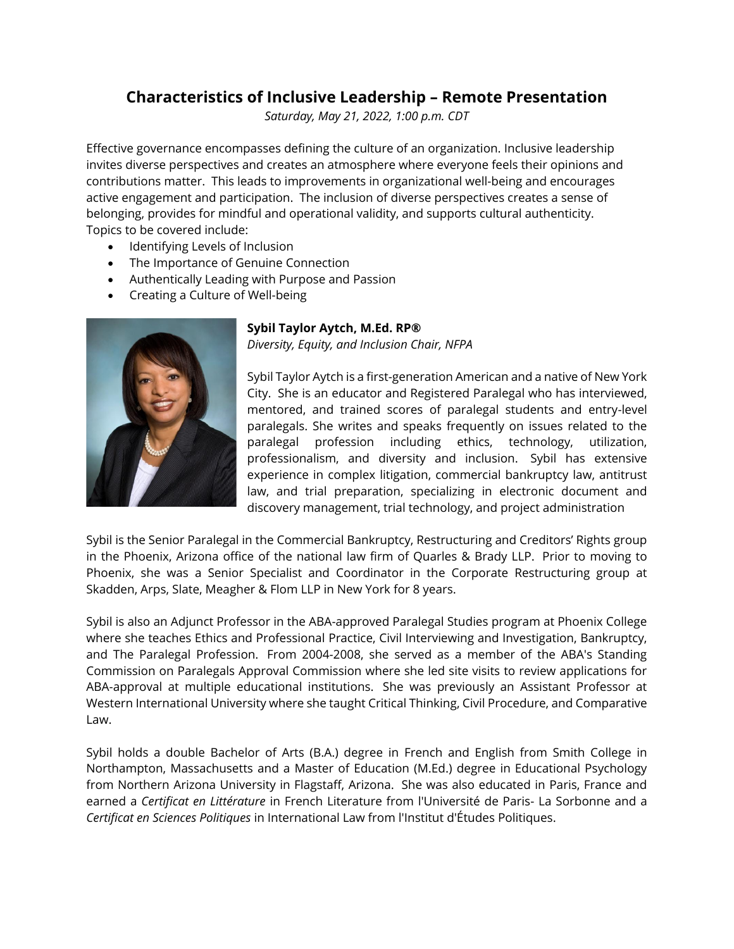### **Characteristics of Inclusive Leadership – Remote Presentation**

*Saturday, May 21, 2022, 1:00 p.m. CDT*

Effective governance encompasses defining the culture of an organization. Inclusive leadership invites diverse perspectives and creates an atmosphere where everyone feels their opinions and contributions matter. This leads to improvements in organizational well-being and encourages active engagement and participation. The inclusion of diverse perspectives creates a sense of belonging, provides for mindful and operational validity, and supports cultural authenticity. Topics to be covered include:

- Identifying Levels of Inclusion
- The Importance of Genuine Connection
- Authentically Leading with Purpose and Passion
- Creating a Culture of Well-being



#### **Sybil Taylor Aytch, M.Ed. RP®**

*Diversity, Equity, and Inclusion Chair, NFPA*

Sybil Taylor Aytch is a first-generation American and a native of New York City. She is an educator and Registered Paralegal who has interviewed, mentored, and trained scores of paralegal students and entry-level paralegals. She writes and speaks frequently on issues related to the paralegal profession including ethics, technology, utilization, professionalism, and diversity and inclusion. Sybil has extensive experience in complex litigation, commercial bankruptcy law, antitrust law, and trial preparation, specializing in electronic document and discovery management, trial technology, and project administration

Sybil is the Senior Paralegal in the Commercial Bankruptcy, Restructuring and Creditors' Rights group in the Phoenix, Arizona office of the national law firm of Quarles & Brady LLP. Prior to moving to Phoenix, she was a Senior Specialist and Coordinator in the Corporate Restructuring group at Skadden, Arps, Slate, Meagher & Flom LLP in New York for 8 years.

Sybil is also an Adjunct Professor in the ABA-approved Paralegal Studies program at Phoenix College where she teaches Ethics and Professional Practice, Civil Interviewing and Investigation, Bankruptcy, and The Paralegal Profession. From 2004-2008, she served as a member of the ABA's Standing Commission on Paralegals Approval Commission where she led site visits to review applications for ABA-approval at multiple educational institutions. She was previously an Assistant Professor at Western International University where she taught Critical Thinking, Civil Procedure, and Comparative Law.

Sybil holds a double Bachelor of Arts (B.A.) degree in French and English from Smith College in Northampton, Massachusetts and a Master of Education (M.Ed.) degree in Educational Psychology from Northern Arizona University in Flagstaff, Arizona. She was also educated in Paris, France and earned a *Certificat en Littérature* in French Literature from l'Université de Paris- La Sorbonne and a *Certificat en Sciences Politiques* in International Law from l'Institut d'Études Politiques.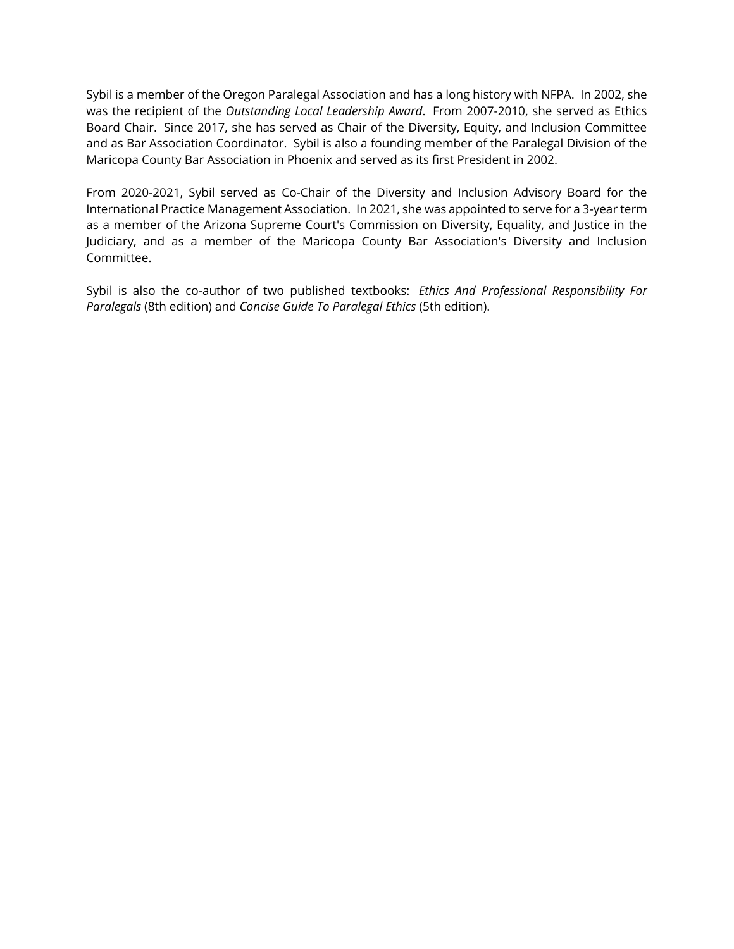Sybil is a member of the Oregon Paralegal Association and has a long history with NFPA. In 2002, she was the recipient of the *Outstanding Local Leadership Award*. From 2007-2010, she served as Ethics Board Chair. Since 2017, she has served as Chair of the Diversity, Equity, and Inclusion Committee and as Bar Association Coordinator. Sybil is also a founding member of the Paralegal Division of the Maricopa County Bar Association in Phoenix and served as its first President in 2002.

From 2020-2021, Sybil served as Co-Chair of the Diversity and Inclusion Advisory Board for the International Practice Management Association. In 2021, she was appointed to serve for a 3-year term as a member of the Arizona Supreme Court's Commission on Diversity, Equality, and Justice in the Judiciary, and as a member of the Maricopa County Bar Association's Diversity and Inclusion Committee.

Sybil is also the co-author of two published textbooks: *Ethics And Professional Responsibility For Paralegals* (8th edition) and *Concise Guide To Paralegal Ethics* (5th edition).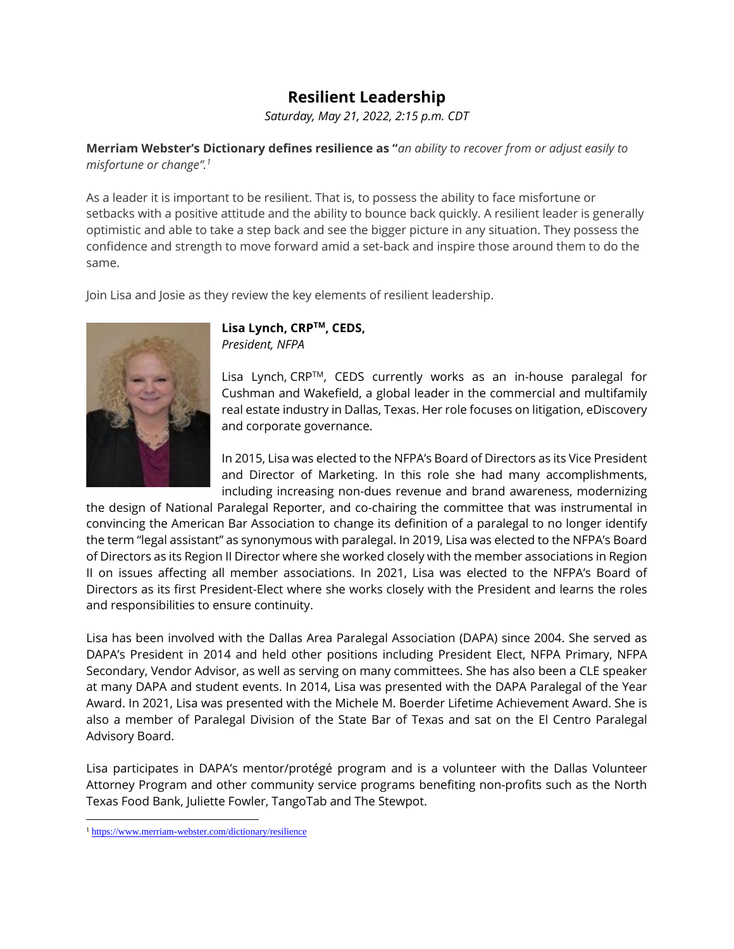### **Resilient Leadership**

*Saturday, May 21, 2022, 2:15 p.m. CDT*

**Merriam Webster's Dictionary defines resilience as "***an ability to recover from or adjust easily to misfortune or change".<sup>1</sup>*

As a leader it is important to be resilient. That is, to possess the ability to face misfortune or setbacks with a positive attitude and the ability to bounce back quickly. A resilient leader is generally optimistic and able to take a step back and see the bigger picture in any situation. They possess the confidence and strength to move forward amid a set-back and inspire those around them to do the same.

Join Lisa and Josie as they review the key elements of resilient leadership.



### **Lisa Lynch, CRPTM, CEDS,**  *President, NFPA*

Lisa Lynch, CRPTM, CEDS currently works as an in-house paralegal for Cushman and Wakefield, a global leader in the commercial and multifamily real estate industry in Dallas, Texas. Her role focuses on litigation, eDiscovery and corporate governance.

In 2015, Lisa was elected to the NFPA's Board of Directors as its Vice President and Director of Marketing. In this role she had many accomplishments, including increasing non-dues revenue and brand awareness, modernizing

the design of National Paralegal Reporter, and co-chairing the committee that was instrumental in convincing the American Bar Association to change its definition of a paralegal to no longer identify the term "legal assistant" as synonymous with paralegal. In 2019, Lisa was elected to the NFPA's Board of Directors as its Region II Director where she worked closely with the member associations in Region II on issues affecting all member associations. In 2021, Lisa was elected to the NFPA's Board of Directors as its first President-Elect where she works closely with the President and learns the roles and responsibilities to ensure continuity.

Lisa has been involved with the Dallas Area Paralegal Association (DAPA) since 2004. She served as DAPA's President in 2014 and held other positions including President Elect, NFPA Primary, NFPA Secondary, Vendor Advisor, as well as serving on many committees. She has also been a CLE speaker at many DAPA and student events. In 2014, Lisa was presented with the DAPA Paralegal of the Year Award. In 2021, Lisa was presented with the Michele M. Boerder Lifetime Achievement Award. She is also a member of Paralegal Division of the State Bar of Texas and sat on the El Centro Paralegal Advisory Board.

Lisa participates in DAPA's mentor/protégé program and is a volunteer with the Dallas Volunteer Attorney Program and other community service programs benefiting non-profits such as the North Texas Food Bank, Juliette Fowler, TangoTab and The Stewpot.

<sup>&</sup>lt;sup>1</sup> <https://www.merriam-webster.com/dictionary/resilience>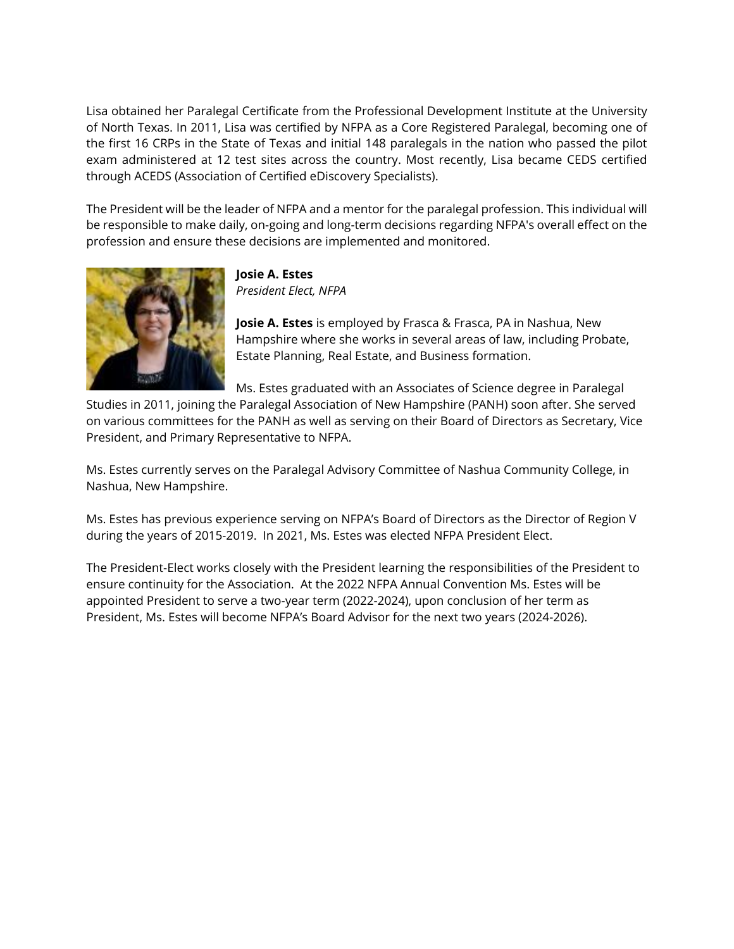Lisa obtained her Paralegal Certificate from the Professional Development Institute at the University of North Texas. In 2011, Lisa was certified by NFPA as a Core Registered Paralegal, becoming one of the first 16 CRPs in the State of Texas and initial 148 paralegals in the nation who passed the pilot exam administered at 12 test sites across the country. Most recently, Lisa became CEDS certified through ACEDS (Association of Certified eDiscovery Specialists).

The President will be the leader of NFPA and a mentor for the paralegal profession. This individual will be responsible to make daily, on-going and long-term decisions regarding NFPA's overall effect on the profession and ensure these decisions are implemented and monitored.



**Josie A. Estes** *President Elect, NFPA*

**Josie A. Estes** is employed by Frasca & Frasca, PA in Nashua, New Hampshire where she works in several areas of law, including Probate, Estate Planning, Real Estate, and Business formation.

Ms. Estes graduated with an Associates of Science degree in Paralegal

Studies in 2011, joining the Paralegal Association of New Hampshire (PANH) soon after. She served on various committees for the PANH as well as serving on their Board of Directors as Secretary, Vice President, and Primary Representative to NFPA.

Ms. Estes currently serves on the Paralegal Advisory Committee of Nashua Community College, in Nashua, New Hampshire.

Ms. Estes has previous experience serving on NFPA's Board of Directors as the Director of Region V during the years of 2015-2019. In 2021, Ms. Estes was elected NFPA President Elect.

The President-Elect works closely with the President learning the responsibilities of the President to ensure continuity for the Association. At the 2022 NFPA Annual Convention Ms. Estes will be appointed President to serve a two-year term (2022-2024), upon conclusion of her term as President, Ms. Estes will become NFPA's Board Advisor for the next two years (2024-2026).